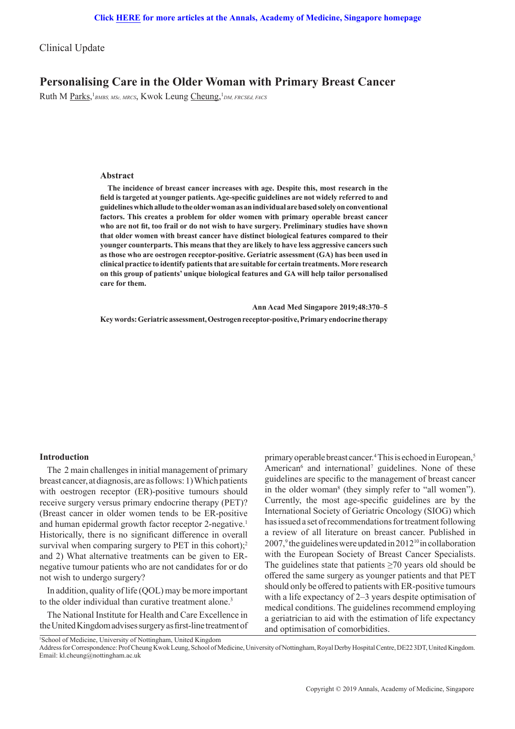Clinical Update

# **Personalising Care in the Older Woman with Primary Breast Cancer**

Ruth M Parks, <sup>1</sup>BMBS, MSc, MRCS, Kwok Leung Cheung, <sup>1</sup>DM, FRCSEd, FACS

### **Abstract**

**The incidence of breast cancer increases with age. Despite this, most research in the field is targeted at younger patients. Age-specific guidelines are not widely referred to and guidelines which allude to the older woman as an individual are based solely on conventional factors. This creates a problem for older women with primary operable breast cancer who are not fit, too frail or do not wish to have surgery. Preliminary studies have shown that older women with breast cancer have distinct biological features compared to their younger counterparts. This means that they are likely to have less aggressive cancers such as those who are oestrogen receptor-positive. Geriatric assessment (GA) has been used in clinical practice to identify patients that are suitable for certain treatments. More research on this group of patients' unique biological features and GA will help tailor personalised care for them.** 

**Ann Acad Med Singapore 2019;48:370–5**

**Key words: Geriatric assessment, Oestrogen receptor-positive, Primary endocrine therapy** 

## **Introduction**

The 2 main challenges in initial management of primary breast cancer, at diagnosis, are as follows: 1) Which patients with oestrogen receptor (ER)-positive tumours should receive surgery versus primary endocrine therapy (PET)? (Breast cancer in older women tends to be ER-positive and human epidermal growth factor receptor 2-negative.<sup>1</sup> Historically, there is no significant difference in overall survival when comparing surgery to PET in this cohort); $^2$ and 2) What alternative treatments can be given to ERnegative tumour patients who are not candidates for or do not wish to undergo surgery?

In addition, quality of life (QOL) may be more important to the older individual than curative treatment alone.<sup>3</sup>

The National Institute for Health and Care Excellence in the United Kingdom advises surgery as first-line treatment of

primary operable breast cancer.<sup>4</sup> This is echoed in European,<sup>5</sup> American<sup>6</sup> and international<sup>7</sup> guidelines. None of these guidelines are specific to the management of breast cancer in the older woman<sup>8</sup> (they simply refer to "all women"). Currently, the most age-specific guidelines are by the International Society of Geriatric Oncology (SIOG) which has issued a set of recommendations for treatment following a review of all literature on breast cancer. Published in 2007,<sup>9</sup> the guidelines were updated in 2012<sup>10</sup> in collaboration with the European Society of Breast Cancer Specialists. The guidelines state that patients  $\geq$  70 years old should be offered the same surgery as younger patients and that PET should only be offered to patients with ER-positive tumours with a life expectancy of 2–3 years despite optimisation of medical conditions. The guidelines recommend employing a geriatrician to aid with the estimation of life expectancy and optimisation of comorbidities.

Address for Correspondence: Prof Cheung Kwok Leung, School of Medicine, University of Nottingham, Royal Derby Hospital Centre, DE22 3DT, United Kingdom. Email: kl.cheung@nottingham.ac.uk

<sup>&</sup>lt;sup>1</sup>School of Medicine, University of Nottingham, United Kingdom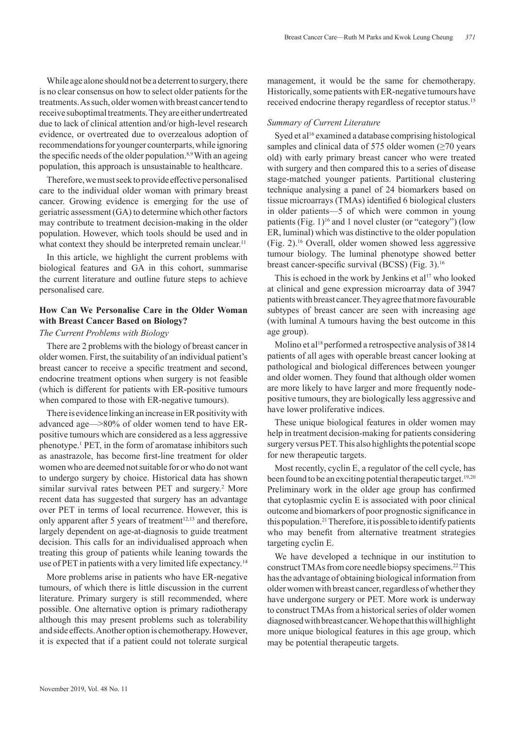While age alone should not be a deterrent to surgery, there is no clear consensus on how to select older patients for the treatments. As such, older women with breast cancer tend to receive suboptimal treatments. They are either undertreated due to lack of clinical attention and/or high-level research evidence, or overtreated due to overzealous adoption of recommendations for younger counterparts, while ignoring the specific needs of the older population.<sup>8,9</sup> With an ageing population, this approach is unsustainable to healthcare.

Therefore, we must seek to provide effective personalised care to the individual older woman with primary breast cancer. Growing evidence is emerging for the use of geriatric assessment (GA) to determine which other factors may contribute to treatment decision-making in the older population. However, which tools should be used and in what context they should be interpreted remain unclear.<sup>11</sup>

In this article, we highlight the current problems with biological features and GA in this cohort, summarise the current literature and outline future steps to achieve personalised care.

# **How Can We Personalise Care in the Older Woman with Breast Cancer Based on Biology?**

### *The Current Problems with Biology*

There are 2 problems with the biology of breast cancer in older women. First, the suitability of an individual patient's breast cancer to receive a specific treatment and second, endocrine treatment options when surgery is not feasible (which is different for patients with ER-positive tumours when compared to those with ER-negative tumours).

There is evidence linking an increase in ER positivity with advanced age—>80% of older women tend to have ERpositive tumours which are considered as a less aggressive phenotype.1 PET, in the form of aromatase inhibitors such as anastrazole, has become first-line treatment for older women who are deemed not suitable for or who do not want to undergo surgery by choice. Historical data has shown similar survival rates between PET and surgery.<sup>2</sup> More recent data has suggested that surgery has an advantage over PET in terms of local recurrence. However, this is only apparent after 5 years of treatment<sup>12,13</sup> and therefore, largely dependent on age-at-diagnosis to guide treatment decision. This calls for an individualised approach when treating this group of patients while leaning towards the use of PET in patients with a very limited life expectancy.<sup>14</sup>

More problems arise in patients who have ER-negative tumours, of which there is little discussion in the current literature. Primary surgery is still recommended, where possible. One alternative option is primary radiotherapy although this may present problems such as tolerability and side effects. Another option is chemotherapy. However, it is expected that if a patient could not tolerate surgical

management, it would be the same for chemotherapy. Historically, some patients with ER-negative tumours have received endocrine therapy regardless of receptor status.<sup>15</sup>

#### *Summary of Current Literature*

Syed et al<sup>16</sup> examined a database comprising histological samples and clinical data of 575 older women  $(\geq 70$  years old) with early primary breast cancer who were treated with surgery and then compared this to a series of disease stage-matched younger patients. Partitional clustering technique analysing a panel of 24 biomarkers based on tissue microarrays (TMAs) identified 6 biological clusters in older patients—5 of which were common in young patients (Fig.  $1$ )<sup>16</sup> and 1 novel cluster (or "category") (low ER, luminal) which was distinctive to the older population (Fig. 2).16 Overall, older women showed less aggressive tumour biology. The luminal phenotype showed better breast cancer-specific survival (BCSS) (Fig. 3).<sup>16</sup>

This is echoed in the work by Jenkins et al<sup>17</sup> who looked at clinical and gene expression microarray data of 3947 patients with breast cancer. They agree that more favourable subtypes of breast cancer are seen with increasing age (with luminal A tumours having the best outcome in this age group).

Molino et al<sup>18</sup> performed a retrospective analysis of 3814 patients of all ages with operable breast cancer looking at pathological and biological differences between younger and older women. They found that although older women are more likely to have larger and more frequently nodepositive tumours, they are biologically less aggressive and have lower proliferative indices.

These unique biological features in older women may help in treatment decision-making for patients considering surgery versus PET. This also highlights the potential scope for new therapeutic targets.

Most recently, cyclin E, a regulator of the cell cycle, has been found to be an exciting potential therapeutic target.<sup>19,20</sup> Preliminary work in the older age group has confirmed that cytoplasmic cyclin E is associated with poor clinical outcome and biomarkers of poor prognostic significance in this population.<sup>21</sup> Therefore, it is possible to identify patients who may benefit from alternative treatment strategies targeting cyclin E.

We have developed a technique in our institution to construct TMAs from core needle biopsy specimens.22 This has the advantage of obtaining biological information from older women with breast cancer, regardless of whether they have undergone surgery or PET. More work is underway to construct TMAs from a historical series of older women diagnosed with breast cancer. We hope that this will highlight more unique biological features in this age group, which may be potential therapeutic targets.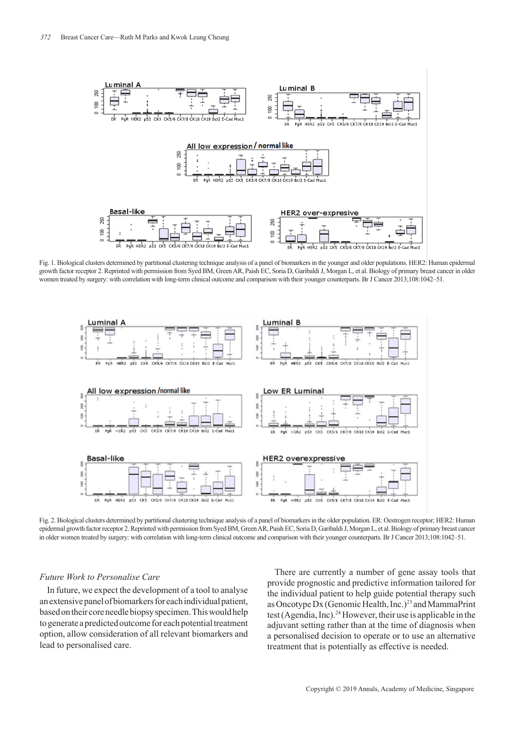

Fig. 1. Biological clusters determined by partitional clustering technique analysis of a panel of biomarkers in the younger and older populations. HER2: Human epidermal growth factor receptor 2. Reprinted with permission from Syed BM, Green AR, Paish EC, Soria D, Garibaldi J, Morgan L, et al. Biology of primary breast cancer in older women treated by surgery: with correlation with long-term clinical outcome and comparison with their younger counterparts. Br J Cancer 2013;108:1042-51.



Fig. 2. Biological clusters determined by partitional clustering technique analysis of a panel of biomarkers in the older population. ER: Oestrogen receptor: HER2: Human epidermal growth factor receptor 2. Reprinted with permission from Syed BM, Green AR, Paish EC, Soria D, Garibaldi J, Morgan L, et al. Biology of primary breast cancer in older women treated by surgery: with correlation with long-term clinical outcome and comparison with their younger counterparts. Br J Cancer 2013;108:1042‒51.

# *Future Work to Personalise Care*

In future, we expect the development of a tool to analyse an extensive panel of biomarkers for each individual patient, based on their core needle biopsy specimen. This would help to generate a predicted outcome for each potential treatment option, allow consideration of all relevant biomarkers and lead to personalised care.

There are currently a number of gene assay tools that provide prognostic and predictive information tailored for the individual patient to help guide potential therapy such as Oncotype Dx (Genomic Health, Inc.)23 and MammaPrint test (Agendia, Inc).24 However, their use is applicable in the adjuvant setting rather than at the time of diagnosis when a personalised decision to operate or to use an alternative treatment that is potentially as effective is needed.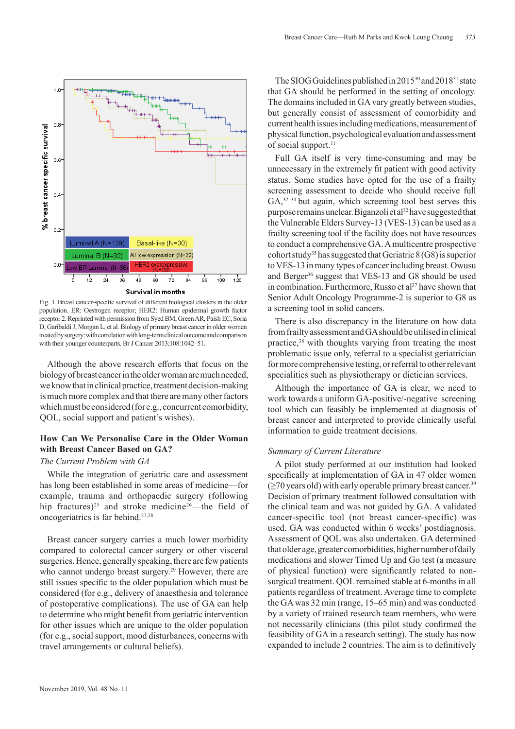



Fig. 3. Breast cancer-specific survival of different biological clusters in the older population. ER: Oestrogen receptor; HER2: Human epidermal growth factor receptor 2. Reprinted with permission from Syed BM, Green AR, Paish EC, Soria D, Garibaldi J, Morgan L, et al. Biology of primary breast cancer in older women treated by surgery: with correlation with long-term clinical outcome and comparison with their younger counterparts. Br J Cancer 2013;108:1042-51.

Although the above research efforts that focus on the biology of breast cancer in the older woman are much needed, we know that in clinical practice, treatment decision-making is much more complex and that there are many other factors which must be considered (for e.g., concurrent comorbidity, QOL, social support and patient's wishes).

# **How Can We Personalise Care in the Older Woman with Breast Cancer Based on GA?**

### *The Current Problem with GA*

While the integration of geriatric care and assessment has long been established in some areas of medicine—for example, trauma and orthopaedic surgery (following hip fractures)<sup>25</sup> and stroke medicine<sup>26</sup>—the field of oncogeriatrics is far behind.27,28

Breast cancer surgery carries a much lower morbidity compared to colorectal cancer surgery or other visceral surgeries. Hence, generally speaking, there are few patients who cannot undergo breast surgery.<sup>29</sup> However, there are still issues specific to the older population which must be considered (for e.g., delivery of anaesthesia and tolerance of postoperative complications). The use of GA can help to determine who might benefit from geriatric intervention for other issues which are unique to the older population (for e.g., social support, mood disturbances, concerns with travel arrangements or cultural beliefs).

The SIOG Guidelines published in 2015<sup>30</sup> and 2018<sup>31</sup> state that GA should be performed in the setting of oncology. The domains included in GA vary greatly between studies, but generally consist of assessment of comorbidity and current health issues including medications, measurement of physical function, psychological evaluation and assessment of social support.<sup>11</sup>

Full GA itself is very time-consuming and may be unnecessary in the extremely fit patient with good activity status. Some studies have opted for the use of a frailty screening assessment to decide who should receive full GA,32–34 but again, which screening tool best serves this purpose remains unclear. Biganzoli et al<sup>32</sup> have suggested that the Vulnerable Elders Survey-13 (VES-13) can be used as a frailty screening tool if the facility does not have resources to conduct a comprehensive GA. A multicentre prospective cohort study<sup>35</sup> has suggested that Geriatric  $8(G8)$  is superior to VES-13 in many types of cancer including breast. Owusu and Berger<sup>36</sup> suggest that VES-13 and G8 should be used in combination. Furthermore, Russo et al<sup>37</sup> have shown that Senior Adult Oncology Programme-2 is superior to G8 as a screening tool in solid cancers.

There is also discrepancy in the literature on how data from frailty assessment and GA should be utilised in clinical practice,<sup>38</sup> with thoughts varying from treating the most problematic issue only, referral to a specialist geriatrician for more comprehensive testing, or referral to other relevant specialities such as physiotherapy or dietician services.

Although the importance of GA is clear, we need to work towards a uniform GA-positive/-negative screening tool which can feasibly be implemented at diagnosis of breast cancer and interpreted to provide clinically useful information to guide treatment decisions.

### *Summary of Current Literature*

A pilot study performed at our institution had looked specifically at implementation of GA in 47 older women  $(\geq 70$  years old) with early operable primary breast cancer.<sup>39</sup> Decision of primary treatment followed consultation with the clinical team and was not guided by GA. A validated cancer-specific tool (not breast cancer-specific) was used. GA was conducted within 6 weeks' postdiagnosis. Assessment of QOL was also undertaken. GA determined that older age, greater comorbidities, higher number of daily medications and slower Timed Up and Go test (a measure of physical function) were significantly related to nonsurgical treatment. QOL remained stable at 6-months in all patients regardless of treatment. Average time to complete the GA was 32 min (range, 15–65 min) and was conducted by a variety of trained research team members, who were not necessarily clinicians (this pilot study confirmed the feasibility of GA in a research setting). The study has now expanded to include 2 countries. The aim is to definitively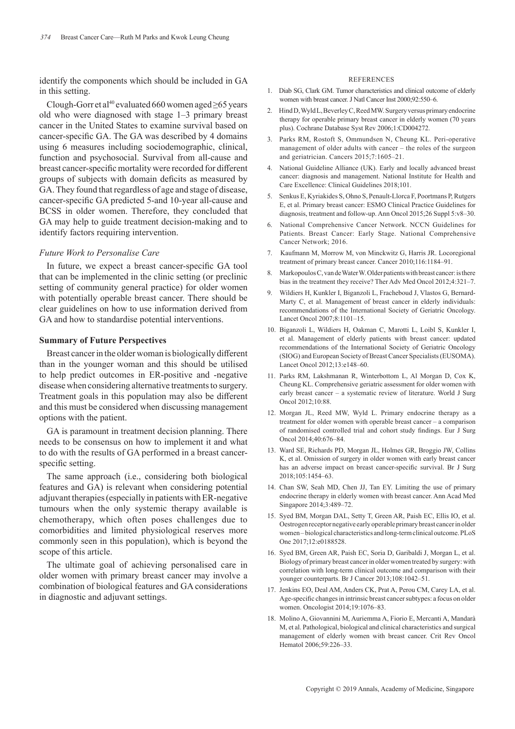identify the components which should be included in GA in this setting.

Clough-Gorr et al<sup>40</sup> evaluated 660 women aged  $\geq$ 65 years old who were diagnosed with stage 1–3 primary breast cancer in the United States to examine survival based on cancer-specific GA. The GA was described by 4 domains using 6 measures including sociodemographic, clinical, function and psychosocial. Survival from all-cause and breast cancer-specific mortality were recorded for different groups of subjects with domain deficits as measured by GA. They found that regardless of age and stage of disease, cancer-specific GA predicted 5-and 10-year all-cause and BCSS in older women. Therefore, they concluded that GA may help to guide treatment decision-making and to identify factors requiring intervention.

### *Future Work to Personalise Care*

In future, we expect a breast cancer-specific GA tool that can be implemented in the clinic setting (or preclinic setting of community general practice) for older women with potentially operable breast cancer. There should be clear guidelines on how to use information derived from GA and how to standardise potential interventions.

## **Summary of Future Perspectives**

Breast cancer in the older woman is biologically different than in the younger woman and this should be utilised to help predict outcomes in ER-positive and -negative disease when considering alternative treatments to surgery. Treatment goals in this population may also be different and this must be considered when discussing management options with the patient.

GA is paramount in treatment decision planning. There needs to be consensus on how to implement it and what to do with the results of GA performed in a breast cancerspecific setting.

The same approach (i.e., considering both biological features and GA) is relevant when considering potential adjuvant therapies (especially in patients with ER-negative tumours when the only systemic therapy available is chemotherapy, which often poses challenges due to comorbidities and limited physiological reserves more commonly seen in this population), which is beyond the scope of this article.

The ultimate goal of achieving personalised care in older women with primary breast cancer may involve a combination of biological features and GA considerations in diagnostic and adjuvant settings.

#### REFERENCES

- 1. Diab SG, Clark GM. Tumor characteristics and clinical outcome of elderly women with breast cancer. J Natl Cancer Inst 2000;92:550-6.
- 2. Hind D, Wyld L, Beverley C, Reed MW. Surgery versus primary endocrine therapy for operable primary breast cancer in elderly women (70 years plus). Cochrane Database Syst Rev 2006;1:CD004272.
- 3. Parks RM, Rostoft S, Ommundsen N, Cheung KL. Peri-operative management of older adults with cancer – the roles of the surgeon and geriatrician. Cancers 2015;7:1605-21.
- 4. National Guideline Alliance (UK). Early and locally advanced breast cancer: diagnosis and management. National Institute for Health and Care Excellence: Clinical Guidelines 2018;101.
- 5. Senkus E, Kyriakides S, Ohno S, Penault-Llorca F, Poortmans P, Rutgers E, et al. Primary breast cancer: ESMO Clinical Practice Guidelines for diagnosis, treatment and follow-up. Ann Oncol 2015;26 Suppl 5:v8-30.
- 6. National Comprehensive Cancer Network. NCCN Guidelines for Patients. Breast Cancer: Early Stage. National Comprehensive Cancer Network; 2016.
- 7. Kaufmann M, Morrow M, von Minckwitz G, Harris JR. Locoregional treatment of primary breast cancer. Cancer 2010;116:1184-91.
- 8. Markopoulos C, van de Water W. Older patients with breast cancer: is there bias in the treatment they receive? Ther Adv Med Oncol 2012;4:321-7.
- 9. Wildiers H, Kunkler I, Biganzoli L, Fracheboud J, Vlastos G, Bernard-Marty C, et al. Management of breast cancer in elderly individuals: recommendations of the International Society of Geriatric Oncology. Lancet Oncol 2007:8:1101-15.
- 10. Biganzoli L, Wildiers H, Oakman C, Marotti L, Loibl S, Kunkler I, et al. Management of elderly patients with breast cancer: updated recommendations of the International Society of Geriatric Oncology (SIOG) and European Society of Breast Cancer Specialists (EUSOMA). Lancet Oncol 2012;13:e148-60.
- 11. Parks RM, Lakshmanan R, Winterbottom L, Al Morgan D, Cox K, Cheung KL. Comprehensive geriatric assessment for older women with early breast cancer – a systematic review of literature. World J Surg Oncol 2012;10:88.
- 12. Morgan JL, Reed MW, Wyld L. Primary endocrine therapy as a treatment for older women with operable breast cancer – a comparison of randomised controlled trial and cohort study findings. Eur J Surg Oncol 2014;40:676‒84.
- 13. Ward SE, Richards PD, Morgan JL, Holmes GR, Broggio JW, Collins K, et al. Omission of surgery in older women with early breast cancer has an adverse impact on breast cancer-specific survival. Br J Surg 2018;105:1454‒63.
- 14. Chan SW, Seah MD, Chen JJ, Tan EY. Limiting the use of primary endocrine therapy in elderly women with breast cancer. Ann Acad Med Singapore 2014;3:489-72.
- 15. Syed BM, Morgan DAL, Setty T, Green AR, Paish EC, Ellis IO, et al. Oestrogen receptor negative early operable primary breast cancer in older women ‒ biological characteristics and long-term clinical outcome. PLoS One 2017;12:e0188528.
- 16. Syed BM, Green AR, Paish EC, Soria D, Garibaldi J, Morgan L, et al. Biology of primary breast cancer in older women treated by surgery: with correlation with long-term clinical outcome and comparison with their younger counterparts. Br J Cancer 2013;108:1042-51.
- 17. Jenkins EO, Deal AM, Anders CK, Prat A, Perou CM, Carey LA, et al. Age-specific changes in intrinsic breast cancer subtypes: a focus on older women. Oncologist 2014;19:1076‒83.
- 18. Molino A, Giovannini M, Auriemma A, Fiorio E, Mercanti A, Mandarà M, et al. Pathological, biological and clinical characteristics and surgical management of elderly women with breast cancer. Crit Rev Oncol Hematol 2006;59:226-33.